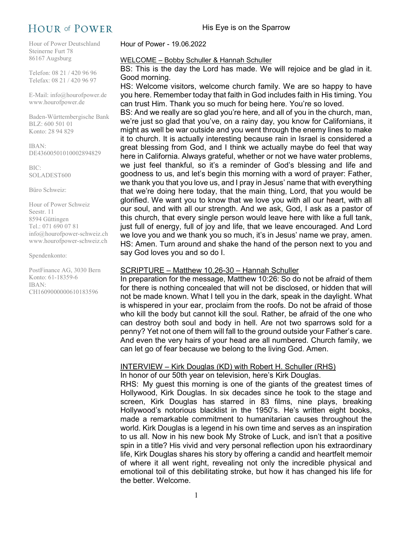# **HOUR of POWER**

Hour of Power Deutschland Steinerne Furt 78 86167 Augsburg

Telefon: 08 21 / 420 96 96 Telefax: 08 21 / 420 96 97

E-Mail: info@hourofpower.de www.hourofpower.de

Baden-Württembergische Bank BLZ: 600 501 01 Konto: 28 94 829

IBAN: DE43600501010002894829

BIC: SOLADEST600

Büro Schweiz:

Hour of Power Schweiz Seestr. 11 8594 Güttingen Tel.: 071 690 07 81 info@hourofpower-schweiz.ch www.hourofpower-schweiz.ch

Spendenkonto:

PostFinance AG, 3030 Bern Konto: 61-18359-6 IBAN: CH1609000000610183596

Hour of Power - 19.06.2022

### WELCOME – Bobby Schuller & Hannah Schuller

BS: This is the day the Lord has made. We will rejoice and be glad in it. Good morning.

HS: Welcome visitors, welcome church family. We are so happy to have you here. Remember today that faith in God includes faith in His timing. You can trust Him. Thank you so much for being here. You're so loved.

BS: And we really are so glad you're here, and all of you in the church, man, we're just so glad that you've, on a rainy day, you know for Californians, it might as well be war outside and you went through the enemy lines to make it to church. It is actually interesting because rain in Israel is considered a great blessing from God, and I think we actually maybe do feel that way here in California. Always grateful, whether or not we have water problems, we just feel thankful, so it's a reminder of God's blessing and life and goodness to us, and let's begin this morning with a word of prayer: Father, we thank you that you love us, and I pray in Jesus' name that with everything that we're doing here today, that the main thing, Lord, that you would be glorified. We want you to know that we love you with all our heart, with all our soul, and with all our strength. And we ask, God, I ask as a pastor of this church, that every single person would leave here with like a full tank, just full of energy, full of joy and life, that we leave encouraged. And Lord we love you and we thank you so much, it's in Jesus' name we pray, amen. HS: Amen. Turn around and shake the hand of the person next to you and say God loves you and so do I.

# SCRIPTURE – Matthew 10,26-30 – Hannah Schuller

In preparation for the message, Matthew 10:26: So do not be afraid of them for there is nothing concealed that will not be disclosed, or hidden that will not be made known. What I tell you in the dark, speak in the daylight. What is whispered in your ear, proclaim from the roofs. Do not be afraid of those who kill the body but cannot kill the soul. Rather, be afraid of the one who can destroy both soul and body in hell. Are not two sparrows sold for a penny? Yet not one of them will fall to the ground outside your Father's care. And even the very hairs of your head are all numbered. Church family, we can let go of fear because we belong to the living God. Amen.

# INTERVIEW – Kirk Douglas (KD) with Robert H. Schuller (RHS)

In honor of our 50th year on television, here's Kirk Douglas.

RHS: My guest this morning is one of the giants of the greatest times of Hollywood, Kirk Douglas. In six decades since he took to the stage and screen, Kirk Douglas has starred in 83 films, nine plays, breaking Hollywood's notorious blacklist in the 1950's. He's written eight books, made a remarkable commitment to humanitarian causes throughout the world. Kirk Douglas is a legend in his own time and serves as an inspiration to us all. Now in his new book My Stroke of Luck, and isn't that a positive spin in a title? His vivid and very personal reflection upon his extraordinary life, Kirk Douglas shares his story by offering a candid and heartfelt memoir of where it all went right, revealing not only the incredible physical and emotional toil of this debilitating stroke, but how it has changed his life for the better. Welcome.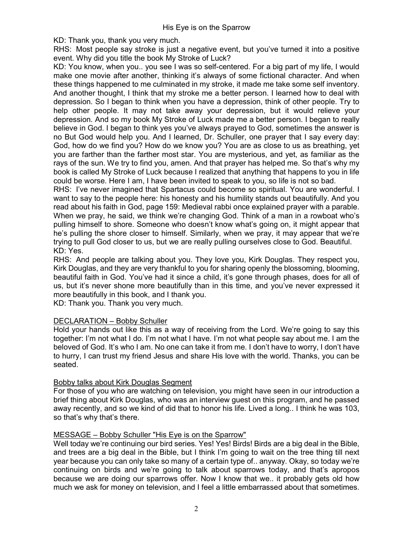KD: Thank you, thank you very much.

RHS: Most people say stroke is just a negative event, but you've turned it into a positive event. Why did you title the book My Stroke of Luck?

KD: You know, when you.. you see I was so self-centered. For a big part of my life, I would make one movie after another, thinking it's always of some fictional character. And when these things happened to me culminated in my stroke, it made me take some self inventory. And another thought, I think that my stroke me a better person. I learned how to deal with depression. So I began to think when you have a depression, think of other people. Try to help other people. It may not take away your depression, but it would relieve your depression. And so my book My Stroke of Luck made me a better person. I began to really believe in God. I began to think yes you've always prayed to God, sometimes the answer is no But God would help you. And I learned, Dr. Schuller, one prayer that I say every day: God, how do we find you? How do we know you? You are as close to us as breathing, yet you are farther than the farther most star. You are mysterious, and yet, as familiar as the rays of the sun. We try to find you, amen. And that prayer has helped me. So that's why my book is called My Stroke of Luck because I realized that anything that happens to you in life could be worse. Here I am, I have been invited to speak to you, so life is not so bad.

RHS: I've never imagined that Spartacus could become so spiritual. You are wonderful. I want to say to the people here: his honesty and his humility stands out beautifully. And you read about his faith in God, page 159: Medieval rabbi once explained prayer with a parable. When we pray, he said, we think we're changing God. Think of a man in a rowboat who's pulling himself to shore. Someone who doesn't know what's going on, it might appear that he's pulling the shore closer to himself. Similarly, when we pray, it may appear that we're trying to pull God closer to us, but we are really pulling ourselves close to God. Beautiful. KD: Yes.

RHS: And people are talking about you. They love you, Kirk Douglas. They respect you, Kirk Douglas, and they are very thankful to you for sharing openly the blossoming, blooming, beautiful faith in God. You've had it since a child, it's gone through phases, does for all of us, but it's never shone more beautifully than in this time, and you've never expressed it more beautifully in this book, and I thank you.

KD: Thank you. Thank you very much.

# DECLARATION – Bobby Schuller

Hold your hands out like this as a way of receiving from the Lord. We're going to say this together: I'm not what I do. I'm not what I have. I'm not what people say about me. I am the beloved of God. It's who I am. No one can take it from me. I don't have to worry, I don't have to hurry, I can trust my friend Jesus and share His love with the world. Thanks, you can be seated.

# Bobby talks about Kirk Douglas Segment

For those of you who are watching on television, you might have seen in our introduction a brief thing about Kirk Douglas, who was an interview guest on this program, and he passed away recently, and so we kind of did that to honor his life. Lived a long.. I think he was 103, so that's why that's there.

## MESSAGE – Bobby Schuller "His Eye is on the Sparrow"

Well today we're continuing our bird series. Yes! Yes! Birds! Birds are a big deal in the Bible, and trees are a big deal in the Bible, but I think I'm going to wait on the tree thing till next year because you can only take so many of a certain type of.. anyway. Okay, so today we're continuing on birds and we're going to talk about sparrows today, and that's apropos because we are doing our sparrows offer. Now I know that we.. it probably gets old how much we ask for money on television, and I feel a little embarrassed about that sometimes.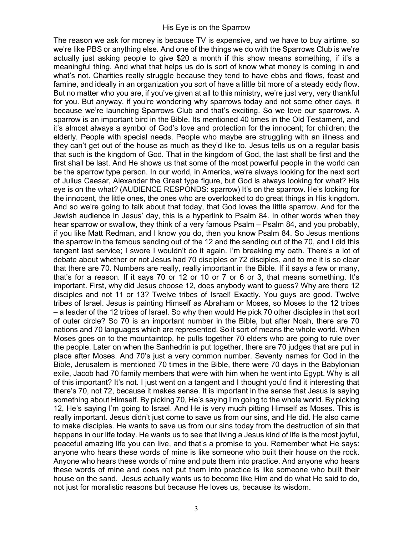The reason we ask for money is because TV is expensive, and we have to buy airtime, so we're like PBS or anything else. And one of the things we do with the Sparrows Club is we're actually just asking people to give \$20 a month if this show means something, if it's a meaningful thing. And what that helps us do is sort of know what money is coming in and what's not. Charities really struggle because they tend to have ebbs and flows, feast and famine, and ideally in an organization you sort of have a little bit more of a steady eddy flow. But no matter who you are, if you've given at all to this ministry, we're just very, very thankful for you. But anyway, if you're wondering why sparrows today and not some other days, it because we're launching Sparrows Club and that's exciting. So we love our sparrows. A sparrow is an important bird in the Bible. Its mentioned 40 times in the Old Testament, and it's almost always a symbol of God's love and protection for the innocent; for children; the elderly. People with special needs. People who maybe are struggling with an illness and they can't get out of the house as much as they'd like to. Jesus tells us on a regular basis that such is the kingdom of God. That in the kingdom of God, the last shall be first and the first shall be last. And He shows us that some of the most powerful people in the world can be the sparrow type person. In our world, in America, we're always looking for the next sort of Julius Caesar, Alexander the Great type figure, but God is always looking for what? His eye is on the what? (AUDIENCE RESPONDS: sparrow) It's on the sparrow. He's looking for the innocent, the little ones, the ones who are overlooked to do great things in His kingdom. And so we're going to talk about that today, that God loves the little sparrow. And for the Jewish audience in Jesus' day, this is a hyperlink to Psalm 84. In other words when they hear sparrow or swallow, they think of a very famous Psalm – Psalm 84, and you probably, if you like Matt Redman, and I know you do, then you know Psalm 84. So Jesus mentions the sparrow in the famous sending out of the 12 and the sending out of the 70, and I did this tangent last service; I swore I wouldn't do it again. I'm breaking my oath. There's a lot of debate about whether or not Jesus had 70 disciples or 72 disciples, and to me it is so clear that there are 70. Numbers are really, really important in the Bible. If it says a few or many, that's for a reason. If it says 70 or 12 or 10 or 7 or 6 or 3, that means something. It's important. First, why did Jesus choose 12, does anybody want to guess? Why are there 12 disciples and not 11 or 13? Twelve tribes of Israel! Exactly. You guys are good. Twelve tribes of Israel. Jesus is painting Himself as Abraham or Moses, so Moses to the 12 tribes – a leader of the 12 tribes of Israel. So why then would He pick 70 other disciples in that sort of outer circle? So 70 is an important number in the Bible, but after Noah, there are 70 nations and 70 languages which are represented. So it sort of means the whole world. When Moses goes on to the mountaintop, he pulls together 70 elders who are going to rule over the people. Later on when the Sanhedrin is put together, there are 70 judges that are put in place after Moses. And 70's just a very common number. Seventy names for God in the Bible, Jerusalem is mentioned 70 times in the Bible, there were 70 days in the Babylonian exile, Jacob had 70 family members that were with him when he went into Egypt. Why is all of this important? It's not. I just went on a tangent and I thought you'd find it interesting that there's 70, not 72, because it makes sense. It is important in the sense that Jesus is saying something about Himself. By picking 70, He's saying I'm going to the whole world. By picking 12, He's saying I'm going to Israel. And He is very much pitting Himself as Moses. This is really important. Jesus didn't just come to save us from our sins, and He did. He also came to make disciples. He wants to save us from our sins today from the destruction of sin that happens in our life today. He wants us to see that living a Jesus kind of life is the most joyful, peaceful amazing life you can live, and that's a promise to you. Remember what He says: anyone who hears these words of mine is like someone who built their house on the rock. Anyone who hears these words of mine and puts them into practice. And anyone who hears these words of mine and does not put them into practice is like someone who built their house on the sand. Jesus actually wants us to become like Him and do what He said to do, not just for moralistic reasons but because He loves us, because its wisdom.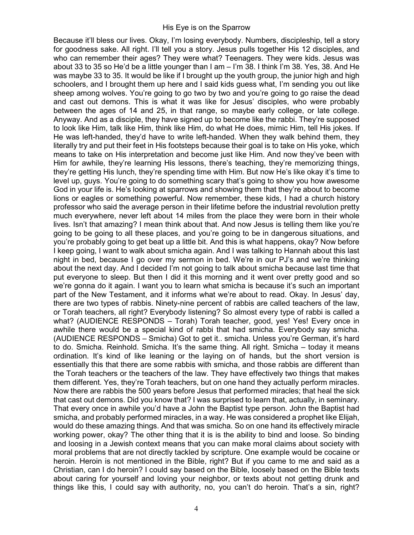Because it'll bless our lives. Okay, I'm losing everybody. Numbers, discipleship, tell a story for goodness sake. All right. I'll tell you a story. Jesus pulls together His 12 disciples, and who can remember their ages? They were what? Teenagers. They were kids. Jesus was about 33 to 35 so He'd be a little younger than I am – I'm 38. I think I'm 38. Yes, 38. And He was maybe 33 to 35. It would be like if I brought up the youth group, the junior high and high schoolers, and I brought them up here and I said kids guess what, I'm sending you out like sheep among wolves. You're going to go two by two and you're going to go raise the dead and cast out demons. This is what it was like for Jesus' disciples, who were probably between the ages of 14 and 25, in that range, so maybe early college, or late college. Anyway. And as a disciple, they have signed up to become like the rabbi. They're supposed to look like Him, talk like Him, think like Him, do what He does, mimic Him, tell His jokes. If He was left-handed, they'd have to write left-handed. When they walk behind them, they literally try and put their feet in His footsteps because their goal is to take on His yoke, which means to take on His interpretation and become just like Him. And now they've been with Him for awhile, they're learning His lessons, there's teaching, they're memorizing things, they're getting His lunch, they're spending time with Him. But now He's like okay it's time to level up, guys. You're going to do something scary that's going to show you how awesome God in your life is. He's looking at sparrows and showing them that they're about to become lions or eagles or something powerful. Now remember, these kids, I had a church history professor who said the average person in their lifetime before the industrial revolution pretty much everywhere, never left about 14 miles from the place they were born in their whole lives. Isn't that amazing? I mean think about that. And now Jesus is telling them like you're going to be going to all these places, and you're going to be in dangerous situations, and you're probably going to get beat up a little bit. And this is what happens, okay? Now before I keep going, I want to walk about smicha again. And I was talking to Hannah about this last night in bed, because I go over my sermon in bed. We're in our PJ's and we're thinking about the next day. And I decided I'm not going to talk about smicha because last time that put everyone to sleep. But then I did it this morning and it went over pretty good and so we're gonna do it again. I want you to learn what smicha is because it's such an important part of the New Testament, and it informs what we're about to read. Okay. In Jesus' day, there are two types of rabbis. Ninety-nine percent of rabbis are called teachers of the law, or Torah teachers, all right? Everybody listening? So almost every type of rabbi is called a what? (AUDIENCE RESPONDS – Torah) Torah teacher, good, yes! Yes! Every once in awhile there would be a special kind of rabbi that had smicha. Everybody say smicha. (AUDIENCE RESPONDS – Smicha) Got to get it.. smicha. Unless you're German, it's hard to do. Smicha. Reinhold. Smicha. It's the same thing. All right. Smicha – today it means ordination. It's kind of like leaning or the laying on of hands, but the short version is essentially this that there are some rabbis with smicha, and those rabbis are different than the Torah teachers or the teachers of the law. They have effectively two things that makes them different. Yes, they're Torah teachers, but on one hand they actually perform miracles. Now there are rabbis the 500 years before Jesus that performed miracles; that heal the sick that cast out demons. Did you know that? I was surprised to learn that, actually, in seminary. That every once in awhile you'd have a John the Baptist type person. John the Baptist had smicha, and probably performed miracles, in a way. He was considered a prophet like Elijah, would do these amazing things. And that was smicha. So on one hand its effectively miracle working power, okay? The other thing that it is is the ability to bind and loose. So binding and loosing in a Jewish context means that you can make moral claims about society with moral problems that are not directly tackled by scripture. One example would be cocaine or heroin. Heroin is not mentioned in the Bible, right? But if you came to me and said as a Christian, can I do heroin? I could say based on the Bible, loosely based on the Bible texts about caring for yourself and loving your neighbor, or texts about not getting drunk and things like this, I could say with authority, no, you can't do heroin. That's a sin, right?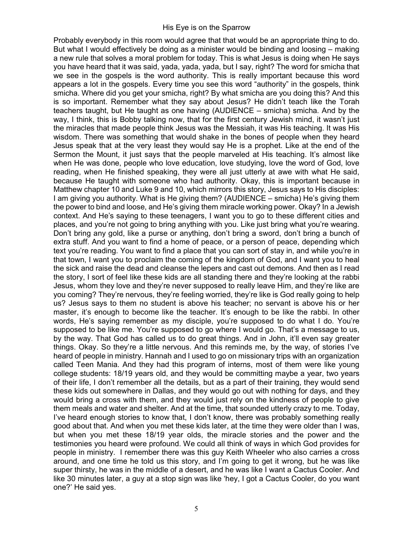Probably everybody in this room would agree that that would be an appropriate thing to do. But what I would effectively be doing as a minister would be binding and loosing – making a new rule that solves a moral problem for today. This is what Jesus is doing when He says you have heard that it was said, yada, yada, yada, but I say, right? The word for smicha that we see in the gospels is the word authority. This is really important because this word appears a lot in the gospels. Every time you see this word "authority" in the gospels, think smicha. Where did you get your smicha, right? By what smicha are you doing this? And this is so important. Remember what they say about Jesus? He didn't teach like the Torah teachers taught, but He taught as one having (AUDIENCE – smicha) smicha. And by the way, I think, this is Bobby talking now, that for the first century Jewish mind, it wasn't just the miracles that made people think Jesus was the Messiah, it was His teaching. It was His wisdom. There was something that would shake in the bones of people when they heard Jesus speak that at the very least they would say He is a prophet. Like at the end of the Sermon the Mount, it just says that the people marveled at His teaching. It's almost like when He was done, people who love education, love studying, love the word of God, love reading, when He finished speaking, they were all just utterly at awe with what He said, because He taught with someone who had authority. Okay, this is important because in Matthew chapter 10 and Luke 9 and 10, which mirrors this story, Jesus says to His disciples: I am giving you authority. What is He giving them? (AUDIENCE – smicha) He's giving them the power to bind and loose, and He's giving them miracle working power. Okay? In a Jewish context. And He's saying to these teenagers, I want you to go to these different cities and places, and you're not going to bring anything with you. Like just bring what you're wearing. Don't bring any gold, like a purse or anything, don't bring a sword, don't bring a bunch of extra stuff. And you want to find a home of peace, or a person of peace, depending which text you're reading. You want to find a place that you can sort of stay in, and while you're in that town, I want you to proclaim the coming of the kingdom of God, and I want you to heal the sick and raise the dead and cleanse the lepers and cast out demons. And then as I read the story, I sort of feel like these kids are all standing there and they're looking at the rabbi Jesus, whom they love and they're never supposed to really leave Him, and they're like are you coming? They're nervous, they're feeling worried, they're like is God really going to help us? Jesus says to them no student is above his teacher; no servant is above his or her master, it's enough to become like the teacher. It's enough to be like the rabbi. In other words, He's saying remember as my disciple, you're supposed to do what I do. You're supposed to be like me. You're supposed to go where I would go. That's a message to us, by the way. That God has called us to do great things. And in John, it'll even say greater things. Okay. So they're a little nervous. And this reminds me, by the way, of stories I've heard of people in ministry. Hannah and I used to go on missionary trips with an organization called Teen Mania. And they had this program of interns, most of them were like young college students: 18/19 years old, and they would be committing maybe a year, two years of their life, I don't remember all the details, but as a part of their training, they would send these kids out somewhere in Dallas, and they would go out with nothing for days, and they would bring a cross with them, and they would just rely on the kindness of people to give them meals and water and shelter. And at the time, that sounded utterly crazy to me. Today, I've heard enough stories to know that, I don't know, there was probably something really good about that. And when you met these kids later, at the time they were older than I was, but when you met these 18/19 year olds, the miracle stories and the power and the testimonies you heard were profound. We could all think of ways in which God provides for people in ministry. I remember there was this guy Keith Wheeler who also carries a cross around, and one time he told us this story, and I'm going to get it wrong, but he was like super thirsty, he was in the middle of a desert, and he was like I want a Cactus Cooler. And like 30 minutes later, a guy at a stop sign was like 'hey, I got a Cactus Cooler, do you want one?' He said yes.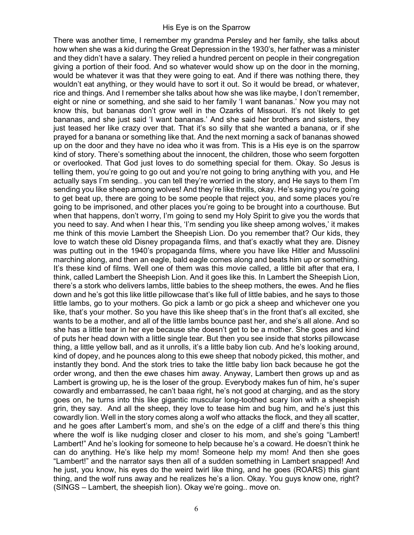There was another time, I remember my grandma Persley and her family, she talks about how when she was a kid during the Great Depression in the 1930's, her father was a minister and they didn't have a salary. They relied a hundred percent on people in their congregation giving a portion of their food. And so whatever would show up on the door in the morning, would be whatever it was that they were going to eat. And if there was nothing there, they wouldn't eat anything, or they would have to sort it out. So it would be bread, or whatever, rice and things. And I remember she talks about how she was like maybe, I don't remember, eight or nine or something, and she said to her family 'I want bananas.' Now you may not know this, but bananas don't grow well in the Ozarks of Missouri. It's not likely to get bananas, and she just said 'I want bananas.' And she said her brothers and sisters, they just teased her like crazy over that. That it's so silly that she wanted a banana, or if she prayed for a banana or something like that. And the next morning a sack of bananas showed up on the door and they have no idea who it was from. This is a His eye is on the sparrow kind of story. There's something about the innocent, the children, those who seem forgotten or overlooked. That God just loves to do something special for them. Okay. So Jesus is telling them, you're going to go out and you're not going to bring anything with you, and He actually says I'm sending.. you can tell they're worried in the story, and He says to them I'm sending you like sheep among wolves! And they're like thrills, okay. He's saying you're going to get beat up, there are going to be some people that reject you, and some places you're going to be imprisoned, and other places you're going to be brought into a courthouse. But when that happens, don't worry, I'm going to send my Holy Spirit to give you the words that you need to say. And when I hear this, 'I'm sending you like sheep among wolves,' it makes me think of this movie Lambert the Sheepish Lion. Do you remember that? Our kids, they love to watch these old Disney propaganda films, and that's exactly what they are. Disney was putting out in the 1940's propaganda films, where you have like Hitler and Mussolini marching along, and then an eagle, bald eagle comes along and beats him up or something. It's these kind of films. Well one of them was this movie called, a little bit after that era, I think, called Lambert the Sheepish Lion. And it goes like this. In Lambert the Sheepish Lion, there's a stork who delivers lambs, little babies to the sheep mothers, the ewes. And he flies down and he's got this like little pillowcase that's like full of little babies, and he says to those little lambs, go to your mothers. Go pick a lamb or go pick a sheep and whichever one you like, that's your mother. So you have this like sheep that's in the front that's all excited, she wants to be a mother, and all of the little lambs bounce past her, and she's all alone. And so she has a little tear in her eye because she doesn't get to be a mother. She goes and kind of puts her head down with a little single tear. But then you see inside that storks pillowcase thing, a little yellow ball, and as it unrolls, it's a little baby lion cub. And he's looking around, kind of dopey, and he pounces along to this ewe sheep that nobody picked, this mother, and instantly they bond. And the stork tries to take the little baby lion back because he got the order wrong, and then the ewe chases him away. Anyway, Lambert then grows up and as Lambert is growing up, he is the loser of the group. Everybody makes fun of him, he's super cowardly and embarrassed, he can't baaa right, he's not good at charging, and as the story goes on, he turns into this like gigantic muscular long-toothed scary lion with a sheepish grin, they say. And all the sheep, they love to tease him and bug him, and he's just this cowardly lion. Well in the story comes along a wolf who attacks the flock, and they all scatter, and he goes after Lambert's mom, and she's on the edge of a cliff and there's this thing where the wolf is like nudging closer and closer to his mom, and she's going "Lambert! Lambert!" And he's looking for someone to help because he's a coward. He doesn't think he can do anything. He's like help my mom! Someone help my mom! And then she goes "Lambert!" and the narrator says then all of a sudden something in Lambert snapped! And he just, you know, his eyes do the weird twirl like thing, and he goes (ROARS) this giant thing, and the wolf runs away and he realizes he's a lion. Okay. You guys know one, right? (SINGS – Lambert, the sheepish lion). Okay we're going.. move on.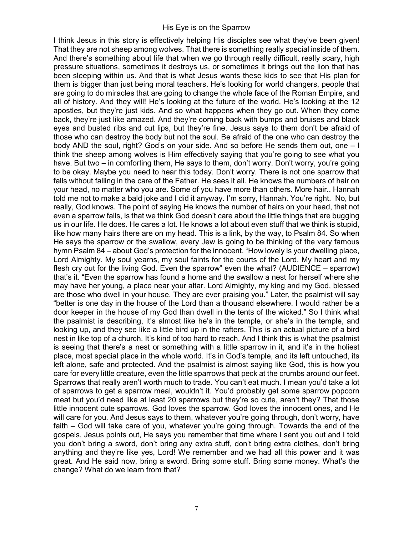I think Jesus in this story is effectively helping His disciples see what they've been given! That they are not sheep among wolves. That there is something really special inside of them. And there's something about life that when we go through really difficult, really scary, high pressure situations, sometimes it destroys us, or sometimes it brings out the lion that has been sleeping within us. And that is what Jesus wants these kids to see that His plan for them is bigger than just being moral teachers. He's looking for world changers, people that are going to do miracles that are going to change the whole face of the Roman Empire, and all of history. And they will! He's looking at the future of the world. He's looking at the 12 apostles, but they're just kids. And so what happens when they go out. When they come back, they're just like amazed. And they're coming back with bumps and bruises and black eyes and busted ribs and cut lips, but they're fine. Jesus says to them don't be afraid of those who can destroy the body but not the soul. Be afraid of the one who can destroy the body AND the soul, right? God's on your side. And so before He sends them out, one – I think the sheep among wolves is Him effectively saying that you're going to see what you have. But two – in comforting them, He says to them, don't worry. Don't worry, you're going to be okay. Maybe you need to hear this today. Don't worry. There is not one sparrow that falls without falling in the care of the Father. He sees it all. He knows the numbers of hair on your head, no matter who you are. Some of you have more than others. More hair.. Hannah told me not to make a bald joke and I did it anyway. I'm sorry, Hannah. You're right. No, but really, God knows. The point of saying He knows the number of hairs on your head, that not even a sparrow falls, is that we think God doesn't care about the little things that are bugging us in our life. He does. He cares a lot. He knows a lot about even stuff that we think is stupid, like how many hairs there are on my head. This is a link, by the way, to Psalm 84. So when He says the sparrow or the swallow, every Jew is going to be thinking of the very famous hymn Psalm 84 – about God's protection for the innocent. "How lovely is your dwelling place, Lord Almighty. My soul yearns, my soul faints for the courts of the Lord. My heart and my flesh cry out for the living God. Even the sparrow" even the what? (AUDIENCE – sparrow) that's it. "Even the sparrow has found a home and the swallow a nest for herself where she may have her young, a place near your altar. Lord Almighty, my king and my God, blessed are those who dwell in your house. They are ever praising you." Later, the psalmist will say "better is one day in the house of the Lord than a thousand elsewhere. I would rather be a door keeper in the house of my God than dwell in the tents of the wicked." So I think what the psalmist is describing, it's almost like he's in the temple, or she's in the temple, and looking up, and they see like a little bird up in the rafters. This is an actual picture of a bird nest in like top of a church. It's kind of too hard to reach. And I think this is what the psalmist is seeing that there's a nest or something with a little sparrow in it, and it's in the holiest place, most special place in the whole world. It's in God's temple, and its left untouched, its left alone, safe and protected. And the psalmist is almost saying like God, this is how you care for every little creature, even the little sparrows that peck at the crumbs around our feet. Sparrows that really aren't worth much to trade. You can't eat much. I mean you'd take a lot of sparrows to get a sparrow meal, wouldn't it. You'd probably get some sparrow popcorn meat but you'd need like at least 20 sparrows but they're so cute, aren't they? That those little innocent cute sparrows. God loves the sparrow. God loves the innocent ones, and He will care for you. And Jesus says to them, whatever you're going through, don't worry, have faith – God will take care of you, whatever you're going through. Towards the end of the gospels, Jesus points out, He says you remember that time where I sent you out and I told you don't bring a sword, don't bring any extra stuff, don't bring extra clothes, don't bring anything and they're like yes, Lord! We remember and we had all this power and it was great. And He said now, bring a sword. Bring some stuff. Bring some money. What's the change? What do we learn from that?